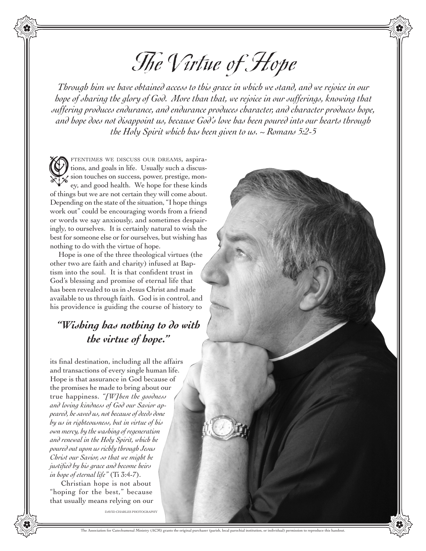## The Virtue of Hope

*Through him we have obtained access to this grace in which we stand, and we rejoice in our hope of sharing the glory of God. More than that, we rejoice in our sufferings, knowing that suffering produces endurance, and endurance produces character, and character produces hope, and hope does not disappoint us, because God's love has been poured into our hearts through the Holy Spirit which has been given to us. ~ Romans 5:2-5*

FTENTIMES WE DISCUSS OUR DREAMS, aspirations, and goals in life. Usually such a discussion touches on success, power, prestige, money, and good health. We hope for these kinds of things but we are not certain they will come about. Depending on the state of the situation, "I hope things work out" could be encouraging words from a friend or words we say anxiously, and sometimes despairingly, to ourselves. It is certainly natural to wish the best for someone else or for ourselves, but wishing has nothing to do with the virtue of hope.  $\bigcirc$ 

Hope is one of the three theological virtues (the other two are faith and charity) infused at Baptism into the soul. It is that confident trust in God's blessing and promise of eternal life that has been revealed to us in Jesus Christ and made available to us through faith. God is in control, and his providence is guiding the course of history to

## *"Wishing has nothing to do with the virtue of hope."*

its final destination, including all the affairs and transactions of every single human life. Hope is that assurance in God because of the promises he made to bring about our true happiness. *"[W]hen the goodness and loving kindness of God our Savior appeared, he saved us, not because of deeds done by us in righteousness, but in virtue of his own mercy, by the washing of regeneration and renewal in the Holy Spirit, which he poured out upon us richly through Jesus Christ our Savior, so that we might be justified by his grace and become heirs in hope of eternal life"* (Ti 3:4-7).

 Christian hope is not about "hoping for the best," because that usually means relying on our

DAVID CHARLES PHOTOGRAPHY